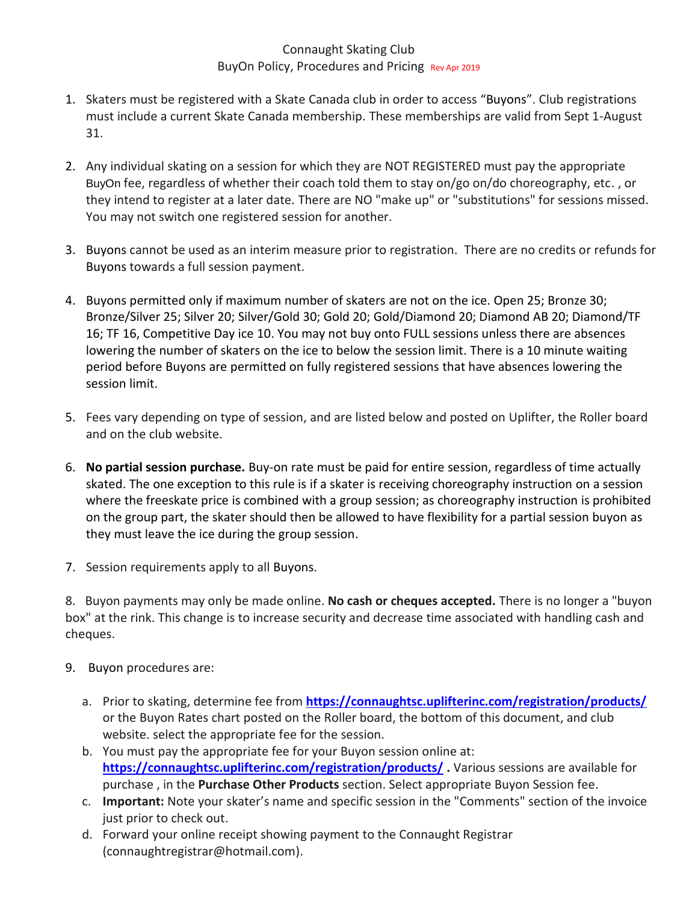## Connaught Skating Club BuyOn Policy, Procedures and Pricing Rev Apr 2019

- 1. Skaters must be registered with a Skate Canada club in order to access "Buyons". Club registrations must include a current Skate Canada membership. These memberships are valid from Sept 1-August 31.
- 2. Any individual skating on a session for which they are NOT REGISTERED must pay the appropriate BuyOn fee, regardless of whether their coach told them to stay on/go on/do choreography, etc. , or they intend to register at a later date. There are NO "make up" or "substitutions" for sessions missed. You may not switch one registered session for another.
- 3. Buyons cannot be used as an interim measure prior to registration. There are no credits or refunds for Buyons towards a full session payment.
- 4. Buyons permitted only if maximum number of skaters are not on the ice. Open 25; Bronze 30; Bronze/Silver 25; Silver 20; Silver/Gold 30; Gold 20; Gold/Diamond 20; Diamond AB 20; Diamond/TF 16; TF 16, Competitive Day ice 10. You may not buy onto FULL sessions unless there are absences lowering the number of skaters on the ice to below the session limit. There is a 10 minute waiting period before Buyons are permitted on fully registered sessions that have absences lowering the session limit.
- 5. Fees vary depending on type of session, and are listed below and posted on Uplifter, the Roller board and on the club website.
- 6. **No partial session purchase.** Buy-on rate must be paid for entire session, regardless of time actually skated. The one exception to this rule is if a skater is receiving choreography instruction on a session where the freeskate price is combined with a group session; as choreography instruction is prohibited on the group part, the skater should then be allowed to have flexibility for a partial session buyon as they must leave the ice during the group session.
- 7. Session requirements apply to all Buyons.

8. Buyon payments may only be made online. **No cash or cheques accepted.** There is no longer a "buyon box" at the rink. This change is to increase security and decrease time associated with handling cash and cheques.

- 9. Buyon procedures are:
	- a. Prior to skating, determine fee from **<https://connaughtsc.uplifterinc.com/registration/products/>** or the Buyon Rates chart posted on the Roller board, the bottom of this document, and club website. select the appropriate fee for the session.
	- b. You must pay the appropriate fee for your Buyon session online at: **<https://connaughtsc.uplifterinc.com/registration/products/> .** Various sessions are available for purchase , in the **Purchase Other Products** section. Select appropriate Buyon Session fee.
	- c. **Important:** Note your skater's name and specific session in the "Comments" section of the invoice just prior to check out.
	- d. Forward your online receipt showing payment to the Connaught Registrar (connaughtregistrar@hotmail.com).